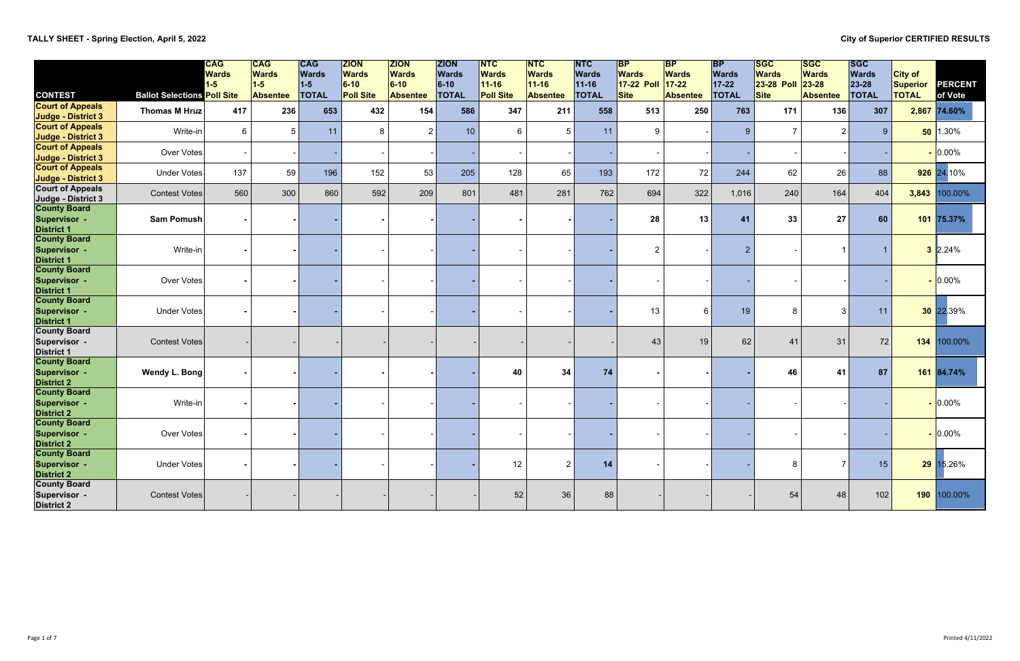# **TALLY SHEET - Spring Election, April 5, 2022 City of Superior CERTIFIED RESULTS**

|                                                                   |                                    | <b>CAG</b><br><b>Wards</b><br>$1-5$ | $\overline{\mathsf{CAG}}$<br><b>Wards</b><br>$1-5$ | <b>CAG</b><br><b>Wards</b><br>$1-5$ | <b>ZION</b><br><b>Wards</b><br>$6-10$ | <b>ZION</b><br><b>Wards</b><br>$6-10$ | <b>ZION</b><br><b>Wards</b><br>$6-10$ | <b>INTC</b><br><b>Wards</b><br>$11 - 16$ | <b>INTC</b><br><b>Wards</b><br>$11 - 16$ | <b>NTC</b><br><b>Wards</b><br>$11 - 16$ | <b>BP</b><br><b>Wards</b><br><b>17-22 Poll</b> | $\mathsf{BP}$<br><b>Wards</b><br>$17 - 22$ | <b>BP</b><br><b>Wards</b><br>$17 - 22$ | <b>SGC</b><br><b>Wards</b><br><b>23-28 Poll</b> | <b>ISGC</b><br><b>Wards</b><br>$23 - 28$ | <b>ISGC</b><br><b>Wards</b><br>23-28 | <b>City of</b><br>Superior | <b>PERCENT</b> |
|-------------------------------------------------------------------|------------------------------------|-------------------------------------|----------------------------------------------------|-------------------------------------|---------------------------------------|---------------------------------------|---------------------------------------|------------------------------------------|------------------------------------------|-----------------------------------------|------------------------------------------------|--------------------------------------------|----------------------------------------|-------------------------------------------------|------------------------------------------|--------------------------------------|----------------------------|----------------|
| <b>CONTEST</b>                                                    | <b>Ballot Selections Poll Site</b> |                                     | <b>Absentee</b>                                    | <b>TOTAL</b>                        | <b>Poll Site</b>                      | <b>Absentee</b>                       | <b>TOTAL</b>                          | <b>Poll Site</b>                         | <b>Absentee</b>                          | <b>TOTAL</b>                            | <b>Site</b>                                    | <b>Absentee</b>                            | <b>TOTAL</b>                           | <b>Site</b>                                     | <b>Absentee</b>                          | <b>TOTAL</b>                         | <b>TOTAL</b>               | of Vote        |
| <b>Court of Appeals</b><br><b>Judge - District 3</b>              | Thomas M Hruz                      | 417                                 | 236                                                | 653                                 | 432                                   | 154                                   | 586                                   | 347                                      | 211                                      | 558                                     | 513                                            | 250                                        | 763                                    | 171                                             | 136                                      | 307                                  |                            | 2,867 74.60%   |
| <b>Court of Appeals</b><br><b>Judge - District 3</b>              | Write-in                           | $6\phantom{.}6$                     | 5 <sup>1</sup>                                     | 11                                  | 8                                     | $\overline{2}$                        | 10                                    | $6\phantom{.}6$                          | 5                                        | 11                                      | 9                                              |                                            | 9                                      |                                                 | 2 <sup>1</sup>                           | $9^{\circ}$                          |                            | $50$   1.30%   |
| <b>Court of Appeals</b><br><b>Judge - District 3</b>              | Over Votes                         |                                     |                                                    |                                     |                                       |                                       |                                       |                                          |                                          |                                         |                                                |                                            |                                        |                                                 |                                          |                                      |                            | $- 0.00\%$     |
| <b>Court of Appeals</b><br><b>Judge - District 3</b>              | <b>Under Votes</b>                 | 137                                 | 59                                                 | 196                                 | 152                                   | 53                                    | 205                                   | 128                                      | 65                                       | 193                                     | 172                                            | 72                                         | 244                                    | 62                                              | 26                                       | 88                                   |                            | 926 24.10%     |
| <b>Court of Appeals</b><br>Judge - District 3                     | <b>Contest Votes</b>               | 560                                 | 300                                                | 860                                 | 592                                   | 209                                   | 801                                   | 481                                      | 281                                      | 762                                     | 694                                            | 322                                        | 1,016                                  | 240                                             | 164                                      | 404                                  | 3,843                      | 100.00%        |
| <b>County Board</b><br>Supervisor -<br><b>District 1</b>          | Sam Pomush                         |                                     |                                                    |                                     |                                       |                                       |                                       |                                          |                                          |                                         | 28                                             | 13                                         | 41                                     | 33                                              | 27                                       | 60                                   |                            | 101 75.37%     |
| <b>County Board</b><br>Supervisor -<br><b>District 1</b>          | Write-in                           |                                     |                                                    |                                     |                                       |                                       |                                       |                                          |                                          |                                         | $\overline{2}$                                 |                                            | $\overline{2}$                         |                                                 |                                          |                                      |                            | $3$ 2.24%      |
| <b>County Board</b><br><b>Supervisor -</b><br><b>District 1</b>   | Over Votes                         |                                     |                                                    |                                     |                                       |                                       |                                       |                                          |                                          |                                         |                                                |                                            |                                        |                                                 |                                          |                                      |                            | $-0.00\%$      |
| <b>County Board</b><br>Supervisor -<br><b>District 1</b>          | <b>Under Votes</b>                 |                                     |                                                    |                                     |                                       |                                       |                                       |                                          |                                          |                                         | 13                                             | $\epsilon$                                 | 19                                     | 8                                               | 3 <sup>1</sup>                           | 11                                   |                            | 30 22.39%      |
| <b>County Board</b><br>Supervisor -<br><b>District 1</b>          | <b>Contest Votes</b>               |                                     |                                                    |                                     |                                       |                                       |                                       |                                          |                                          |                                         | 43                                             | 19                                         | 62                                     | 41                                              | 31                                       | 72                                   | 134                        | 100.00%        |
| <b>County Board</b><br>Supervisor -<br><b>District 2</b>          | Wendy L. Bong                      |                                     |                                                    |                                     |                                       |                                       |                                       | 40                                       | 34                                       | 74                                      |                                                |                                            |                                        | 46                                              | 41                                       | 87                                   |                            | 161 84.74%     |
| <b>County Board</b><br>Supervisor -<br><b>District 2</b>          | Write-in                           |                                     |                                                    |                                     |                                       |                                       |                                       |                                          |                                          |                                         |                                                |                                            |                                        |                                                 |                                          |                                      |                            | $-0.00\%$      |
| <b>County Board</b><br>Supervisor -<br>District 2<br>County Board | Over Votes                         |                                     |                                                    |                                     |                                       |                                       |                                       |                                          |                                          |                                         |                                                |                                            |                                        |                                                 |                                          |                                      |                            | $-0.00\%$      |
| Supervisor -<br><b>District 2</b>                                 | Under Votes                        |                                     |                                                    |                                     |                                       |                                       |                                       | 12                                       | $\overline{2}$                           | 14                                      |                                                |                                            |                                        | 8                                               | $\overline{7}$                           | 15                                   |                            | 29 15.26%      |
| <b>County Board</b><br>Supervisor -<br><b>District 2</b>          | <b>Contest Votes</b>               |                                     |                                                    |                                     |                                       |                                       |                                       | 52                                       | 36                                       | 88                                      |                                                |                                            |                                        | 54                                              | 48                                       | 102                                  |                            | 190 100.00%    |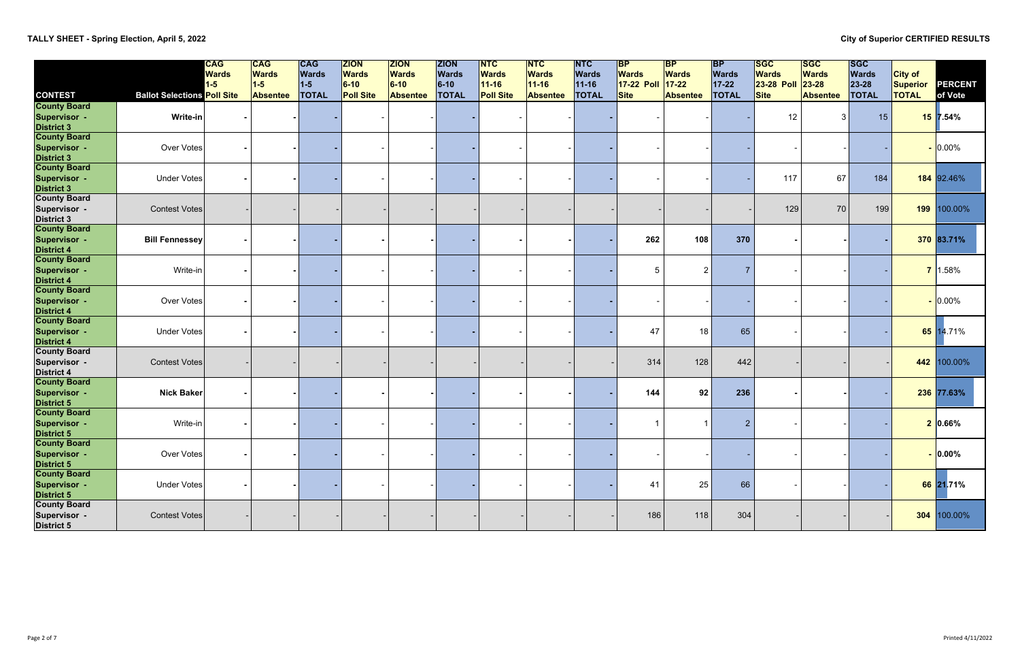# **TALLY SHEET - Spring Election, April 5, 2022 City of Superior CERTIFIED RESULTS**

|                                                                   |                                    | <b>CAG</b><br><b>Wards</b><br>$1-5$ | <sub>CAG</sub>  <br><b>Wards</b><br>$1-5$ | CAG<br><b>Wards</b><br>$1-5$ | ZION<br><b>Wards</b><br>$6-10$ | <b>ZION</b><br><b>Wards</b><br>$6-10$ | <b>ZION</b><br><b>Wards</b><br>$6-10$ | <b>INTC</b><br><b>Wards</b><br>$11 - 16$ | <b>NTC</b><br><b>Wards</b><br>$11 - 16$ | <b>NTC</b><br><b>Wards</b><br>$11 - 16$ | <b>BP</b><br><b>Wards</b><br><b>17-22 Poll</b> | $\mathsf{BP}$<br><b>Wards</b><br>$17 - 22$ | <b>BP</b><br><b>Wards</b><br>$17 - 22$ | <b>SGC</b><br><b>Wards</b><br>23-28 Poll | <b>ISGC</b><br><b>Wards</b><br>$23 - 28$ | <b>ISGC</b><br><b>Wards</b><br>23-28 | <b>City of</b><br>Superior | PERCENT    |
|-------------------------------------------------------------------|------------------------------------|-------------------------------------|-------------------------------------------|------------------------------|--------------------------------|---------------------------------------|---------------------------------------|------------------------------------------|-----------------------------------------|-----------------------------------------|------------------------------------------------|--------------------------------------------|----------------------------------------|------------------------------------------|------------------------------------------|--------------------------------------|----------------------------|------------|
| <b>CONTEST</b>                                                    | <b>Ballot Selections Poll Site</b> |                                     | <b>Absentee</b>                           | <b>TOTAL</b>                 | <b>Poll Site</b>               | <b>Absentee</b>                       | <b>TOTAL</b>                          | <b>Poll Site</b>                         | <b>Absentee</b>                         | <b>TOTAL</b>                            | <b>Site</b>                                    | Absentee                                   | <b>TOTAL</b>                           | <b>Site</b>                              | <b>Absentee</b>                          | <b>TOTAL</b>                         | <b>TOTAL</b>               | of Vote    |
| <b>County Board</b><br>Supervisor -<br><b>District 3</b>          | Write-in                           |                                     |                                           |                              |                                |                                       |                                       |                                          |                                         |                                         |                                                |                                            |                                        | 12                                       | $\vert$ 3                                | 15                                   |                            | $15$ 7.54% |
| <b>County Board</b><br>Supervisor -<br><b>District 3</b>          | Over Votes                         |                                     |                                           |                              |                                |                                       |                                       |                                          |                                         |                                         |                                                |                                            |                                        |                                          |                                          |                                      |                            | $- 0.00\%$ |
| <b>County Board</b><br>Supervisor -<br><b>District 3</b>          | <b>Under Votes</b>                 |                                     |                                           |                              |                                |                                       |                                       |                                          |                                         |                                         |                                                |                                            |                                        | 117                                      | 67                                       | 184                                  |                            | 184 92.46% |
| <b>County Board</b><br>Supervisor -<br><b>District 3</b>          | <b>Contest Votes</b>               |                                     |                                           |                              |                                |                                       |                                       |                                          |                                         |                                         |                                                |                                            |                                        | 129                                      | 70                                       | 199                                  | 199                        | 100.00%    |
| <b>County Board</b><br>Supervisor -<br><b>District 4</b>          | <b>Bill Fennessey</b>              |                                     |                                           |                              |                                |                                       |                                       |                                          |                                         |                                         | 262                                            | 108                                        | 370                                    |                                          |                                          |                                      |                            | 370 83.71% |
| <b>County Board</b><br>Supervisor -<br><b>District 4</b>          | Write-in                           |                                     |                                           |                              |                                |                                       |                                       |                                          |                                         |                                         | 5                                              |                                            | $\overline{7}$                         |                                          |                                          |                                      |                            | 7 1.58%    |
| <b>County Board</b><br>Supervisor -<br><b>District 4</b>          | Over Votes                         |                                     |                                           |                              |                                |                                       |                                       |                                          |                                         |                                         |                                                |                                            |                                        |                                          |                                          |                                      |                            | $-0.00\%$  |
| <b>County Board</b><br>Supervisor -<br><b>District 4</b>          | <b>Under Votes</b>                 |                                     |                                           |                              |                                |                                       |                                       |                                          |                                         |                                         | 47                                             | 18                                         | 65                                     |                                          |                                          |                                      |                            | 65 14.71%  |
| <b>County Board</b><br>Supervisor -<br><b>District 4</b>          | <b>Contest Votes</b>               |                                     |                                           |                              |                                |                                       |                                       |                                          |                                         |                                         | 314                                            | 128                                        | 442                                    |                                          |                                          |                                      | 442                        | 100.00%    |
| <b>County Board</b><br>Supervisor -<br><b>District 5</b>          | <b>Nick Baker</b>                  |                                     |                                           |                              |                                |                                       |                                       |                                          |                                         |                                         | 144                                            | 92                                         | 236                                    |                                          |                                          |                                      |                            | 236 77.63% |
| <b>County Board</b><br>Supervisor -<br>District 5<br>County Board | Write-in                           |                                     |                                           |                              |                                |                                       |                                       |                                          |                                         |                                         |                                                |                                            | $\overline{2}$                         |                                          |                                          |                                      |                            | 2 0.66%    |
| Supervisor -<br>District 5                                        | Over Votes                         |                                     |                                           |                              |                                |                                       |                                       |                                          |                                         |                                         |                                                |                                            |                                        |                                          |                                          |                                      |                            | $-0.00\%$  |
| <b>County Board</b><br>Supervisor -<br><b>District 5</b>          | Under Votes                        |                                     |                                           |                              |                                |                                       |                                       |                                          |                                         |                                         | 41                                             | 25                                         | 66                                     |                                          |                                          |                                      |                            | 66 21.71%  |
| <b>County Board</b><br>Supervisor -<br><b>District 5</b>          | <b>Contest Votes</b>               |                                     |                                           |                              |                                |                                       |                                       |                                          |                                         |                                         | 186                                            | 118                                        | 304                                    |                                          |                                          |                                      | 304                        | 100.00%    |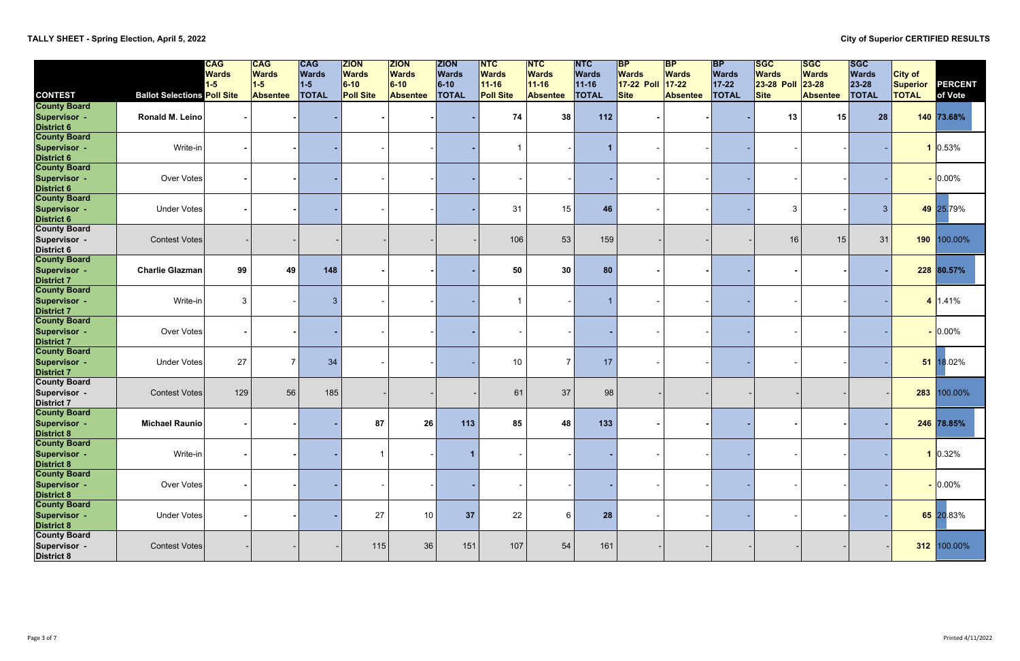|                                                                                  |                                    | <b>CAG</b><br><b>Wards</b> | $\overline{\textsf{CAG}}$<br><b>Wards</b> | <b>CAG</b><br><b>Wards</b> | <b>ZION</b><br><b>Wards</b> | <b>ZION</b><br><b>Wards</b> | <b>ZION</b><br><b>Wards</b> | $\overline{\mathsf{NTC}}$<br><b>Wards</b> | <b>NTC</b><br><b>Wards</b> | $\overline{\mathsf{NTC}}$<br><b>Wards</b> | <b>BP</b><br><b>Wards</b> | $\overline{BP}$<br><b>Wards</b> | <b>BP</b><br><b>Wards</b> | <b>SGC</b><br><b>Wards</b> | <b>ISGC</b><br><b>Wards</b> | <b>ISGC</b><br><b>Wards</b> | <b>City of</b>  |              |
|----------------------------------------------------------------------------------|------------------------------------|----------------------------|-------------------------------------------|----------------------------|-----------------------------|-----------------------------|-----------------------------|-------------------------------------------|----------------------------|-------------------------------------------|---------------------------|---------------------------------|---------------------------|----------------------------|-----------------------------|-----------------------------|-----------------|--------------|
|                                                                                  |                                    | $1-5$                      | $1-5$                                     | $1-5$                      | $6-10$                      | $6-10$                      | $6-10$                      | $11 - 16$                                 | $11 - 16$                  | $11-16$                                   | 17-22 Poll                | $17 - 22$                       | $17 - 22$                 | <b>23-28 Poll</b>          | $23 - 28$                   | 23-28                       | <b>Superior</b> | PERCENT      |
| <b>CONTEST</b>                                                                   | <b>Ballot Selections Poll Site</b> |                            | <b>Absentee</b>                           | <b>TOTAL</b>               | <b>Poll Site</b>            | <b>Absentee</b>             | <b>TOTAL</b>                | <b>Poll Site</b>                          | <b>Absentee</b>            | <b>TOTAL</b>                              | Site                      | <b>Absentee</b>                 | <b>TOTAL</b>              | <b>Site</b>                | <b>Absentee</b>             | <b>TOTAL</b>                | <b>TOTAL</b>    | of Vote      |
| <b>County Board</b><br><b>Supervisor -</b>                                       | <b>Ronald M. Leino</b>             |                            |                                           |                            |                             |                             |                             | 74                                        | 38                         | 112                                       |                           |                                 |                           | 13                         | 15                          | 28                          |                 | $140$ 73.68% |
| District 6<br>County Board<br><b>Supervisor -</b>                                | Write-in                           |                            |                                           |                            |                             |                             |                             | -1                                        |                            | 1                                         |                           |                                 |                           |                            |                             |                             |                 | 0.53%        |
| <b>District 6</b><br>County Board<br><b>Supervisor -</b><br><b>District 6</b>    | Over Votes                         |                            |                                           |                            |                             |                             |                             |                                           |                            |                                           |                           |                                 |                           |                            |                             |                             |                 | $-0.00\%$    |
| <b>County Board</b><br><b>Supervisor -</b><br><b>District 6</b>                  | <b>Under Votes</b>                 |                            |                                           |                            |                             |                             |                             | 31                                        | 15                         | 46                                        |                           |                                 |                           | 3                          |                             | $\mathbf{3}$                |                 | 49 25.79%    |
| <b>County Board</b><br>Supervisor -<br><b>District 6</b>                         | <b>Contest Votes</b>               |                            |                                           |                            |                             |                             |                             | 106                                       | 53                         | 159                                       |                           |                                 |                           | 16                         | 15                          | 31                          | 190             | 100.00%      |
| <b>County Board</b><br>Supervisor -<br><b>District 7</b>                         | <b>Charlie Glazman</b>             | 99                         | 49                                        | 148                        |                             |                             |                             | 50                                        | 30                         | 80                                        |                           |                                 |                           |                            |                             |                             |                 | 228 80.57%   |
| <b>County Board</b><br>Supervisor -<br><b>District 7</b>                         | Write-in                           | $\mathbf{3}$               |                                           | $\mathbf{3}$               |                             |                             |                             | -1                                        |                            |                                           |                           |                                 |                           |                            |                             |                             |                 | 4 1.41%      |
| <b>County Board</b><br>Supervisor -<br><b>District 7</b>                         | Over Votes                         |                            |                                           |                            |                             |                             |                             |                                           |                            |                                           |                           |                                 |                           |                            |                             |                             |                 | $-0.00\%$    |
| <b>County Board</b><br><b>Supervisor -</b><br><b>District 7<br/>County Board</b> | Under Votes                        | 27                         | $\overline{7}$                            | 34                         |                             |                             |                             | 10                                        | 7 <sup>1</sup>             | 17                                        |                           |                                 |                           |                            |                             |                             |                 | 51 18.02%    |
| Supervisor -<br><b>District 7</b><br>County Board                                | <b>Contest Votes</b>               | 129                        | 56                                        | 185                        |                             |                             |                             | 61                                        | 37                         | 98                                        |                           |                                 |                           |                            |                             |                             | 283             | 100.00%      |
| Supervisor -<br>District 8<br>County Board                                       | <b>Michael Raunio</b>              |                            |                                           |                            | 87                          | 26                          | 113                         | 85                                        | 48                         | 133                                       |                           |                                 |                           |                            |                             |                             |                 | 246 78.85%   |
| <b>Supervisor -</b><br><b>District 8</b>                                         | Write-in                           |                            |                                           |                            |                             |                             | $\mathbf{1}$                |                                           |                            |                                           |                           |                                 |                           |                            |                             |                             |                 | 1 0.32%      |
| <b>County Board</b><br><b>Supervisor -</b><br><b>District 8</b>                  | Over Votes                         |                            |                                           |                            |                             |                             |                             |                                           |                            |                                           |                           |                                 |                           |                            |                             |                             |                 | $-0.00\%$    |
| <b>County Board</b><br>Supervisor -<br><b>District 8</b><br>County Board         | Under Votes                        |                            |                                           |                            | 27                          | 10                          | 37                          | 22                                        | 6                          | 28                                        |                           |                                 |                           |                            |                             |                             |                 | 65 20.83%    |
| Supervisor -<br><b>District 8</b>                                                | <b>Contest Votes</b>               |                            |                                           |                            | 115                         | 36                          | 151                         | 107                                       | 54                         | 161                                       |                           |                                 |                           |                            |                             |                             | 312             | 100.00%      |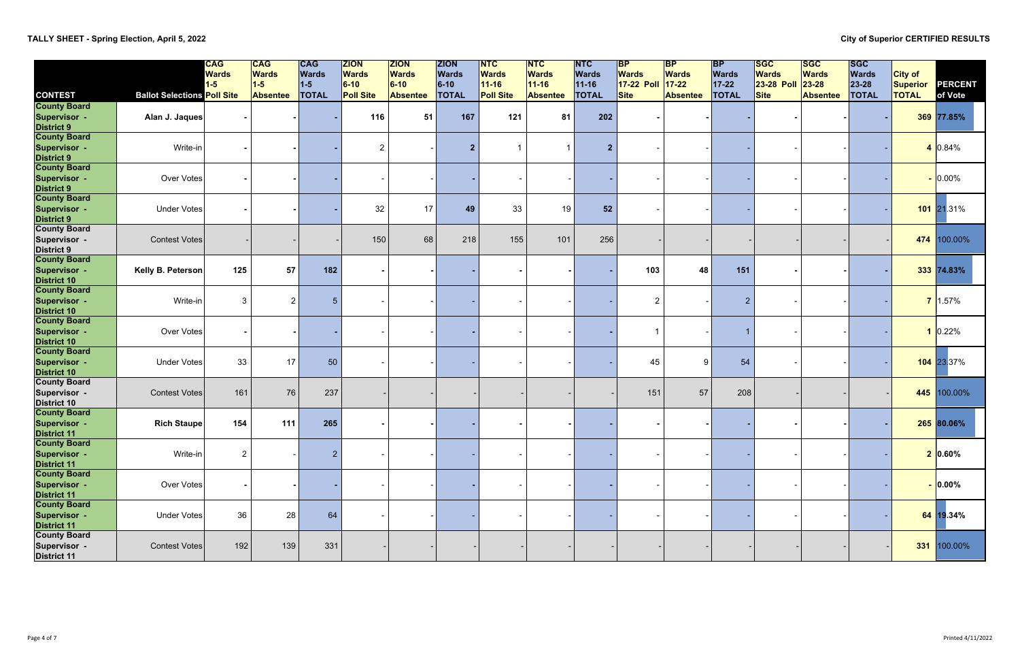|                                           |                                    | <b>CAG</b>            | $CC$                  | <b>CAG</b>            | <b>ZION</b>            | <b>ZION</b>            | <b>ZION</b>            | $\overline{\mathsf{NTC}}$ | $\overline{\mathsf{NTC}}$ | <b>NTC</b>                | $\mathsf{B}\mathsf{P}$     | $\mathsf{BP}$             | <b>BP</b>             | <b>SGC</b>                        | <b>ISGC</b>               | <b>ISGC</b>           |                                   |            |
|-------------------------------------------|------------------------------------|-----------------------|-----------------------|-----------------------|------------------------|------------------------|------------------------|---------------------------|---------------------------|---------------------------|----------------------------|---------------------------|-----------------------|-----------------------------------|---------------------------|-----------------------|-----------------------------------|------------|
|                                           |                                    | <b>Wards</b><br>$1-5$ | <b>Wards</b><br>$1-5$ | <b>Wards</b><br>$1-5$ | <b>Wards</b><br>$6-10$ | <b>Wards</b><br>$6-10$ | <b>Wards</b><br>$6-10$ | <b>Wards</b><br>$11-16$   | <b>Wards</b><br>$11 - 16$ | <b>Wards</b><br>$11 - 16$ | <b>Wards</b><br>17-22 Poll | <b>Wards</b><br>$17 - 22$ | <b>Wards</b><br>17-22 | <b>Wards</b><br><b>23-28 Poll</b> | <b>Wards</b><br>$23 - 28$ | <b>Wards</b><br>23-28 | <b>City of</b><br><b>Superior</b> | PERCENT    |
| <b>CONTEST</b>                            | <b>Ballot Selections Poll Site</b> |                       | <b>Absentee</b>       | <b>TOTAL</b>          | <b>Poll Site</b>       | <b>Absentee</b>        | <b>TOTAL</b>           | <b>Poll Site</b>          | <b>Absentee</b>           | <b>TOTAL</b>              | <b>Site</b>                | <b>Absentee</b>           | <b>TOTAL</b>          | <b>Site</b>                       | <b>Absentee</b>           | <b>TOTAL</b>          | <b>TOTAL</b>                      | of Vote    |
| <b>County Board</b>                       |                                    |                       |                       |                       |                        |                        |                        |                           |                           |                           |                            |                           |                       |                                   |                           |                       |                                   |            |
| <b>Supervisor -</b>                       | Alan J. Jaques                     |                       |                       |                       | 116                    | 51                     | 167                    | 121                       | 81                        | 202                       |                            |                           |                       |                                   |                           |                       |                                   | 369 77.85% |
| District 9<br>County Board                |                                    |                       |                       |                       |                        |                        |                        |                           |                           |                           |                            |                           |                       |                                   |                           |                       |                                   |            |
|                                           |                                    |                       |                       |                       |                        |                        |                        |                           |                           |                           |                            |                           |                       |                                   |                           |                       |                                   |            |
| <b>Supervisor -</b>                       | Write-in                           |                       |                       |                       | $\overline{2}$         |                        | 2 <sub>2</sub>         | -1                        |                           | $\overline{2}$            |                            |                           |                       |                                   |                           |                       |                                   | $10.84\%$  |
| District 9<br>County Board                |                                    |                       |                       |                       |                        |                        |                        |                           |                           |                           |                            |                           |                       |                                   |                           |                       |                                   |            |
| <b>Supervisor -</b>                       | Over Votes                         |                       |                       |                       |                        |                        |                        |                           |                           |                           |                            |                           |                       |                                   |                           |                       |                                   | $-0.00\%$  |
| <b>District 9</b>                         |                                    |                       |                       |                       |                        |                        |                        |                           |                           |                           |                            |                           |                       |                                   |                           |                       |                                   |            |
| <b>County Board</b>                       |                                    |                       |                       |                       |                        |                        |                        |                           |                           |                           |                            |                           |                       |                                   |                           |                       |                                   |            |
| <b>Supervisor -</b>                       | <b>Under Votes</b>                 |                       |                       |                       | 32                     | 17                     | 49                     | 33                        | 19                        | 52                        |                            |                           |                       |                                   |                           |                       |                                   | 101 21.31% |
| <b>District 9</b>                         |                                    |                       |                       |                       |                        |                        |                        |                           |                           |                           |                            |                           |                       |                                   |                           |                       |                                   |            |
| <b>County Board</b>                       |                                    |                       |                       |                       |                        |                        |                        |                           |                           |                           |                            |                           |                       |                                   |                           |                       |                                   |            |
| Supervisor -                              | <b>Contest Votes</b>               |                       |                       |                       | 150                    | 68                     | 218                    | 155                       | 101                       | 256                       |                            |                           |                       |                                   |                           |                       | 474                               | 100.00%    |
| <b>District 9</b><br><b>County Board</b>  |                                    |                       |                       |                       |                        |                        |                        |                           |                           |                           |                            |                           |                       |                                   |                           |                       |                                   |            |
| <b>Supervisor -</b>                       | Kelly B. Peterson                  | 125                   | 57                    | 182                   |                        |                        |                        |                           |                           |                           | 103                        | 48                        | 151                   |                                   |                           |                       |                                   | 333 74.83% |
| <b>District 10</b>                        |                                    |                       |                       |                       |                        |                        |                        |                           |                           |                           |                            |                           |                       |                                   |                           |                       |                                   |            |
| <b>County Board</b>                       |                                    |                       |                       |                       |                        |                        |                        |                           |                           |                           |                            |                           |                       |                                   |                           |                       |                                   |            |
| Supervisor -                              | Write-in                           | $\mathbf{3}$          | $\overline{2}$        | $5\overline{5}$       |                        |                        |                        |                           |                           |                           | $\overline{2}$             |                           | $\overline{2}$        |                                   |                           |                       |                                   | 7 1.57%    |
| <b>District 10</b>                        |                                    |                       |                       |                       |                        |                        |                        |                           |                           |                           |                            |                           |                       |                                   |                           |                       |                                   |            |
| <b>County Board</b>                       |                                    |                       |                       |                       |                        |                        |                        |                           |                           |                           |                            |                           |                       |                                   |                           |                       |                                   |            |
| Supervisor -                              | Over Votes                         |                       |                       |                       |                        |                        |                        |                           |                           |                           | 1                          |                           | $\overline{1}$        |                                   |                           |                       |                                   | 0.22%      |
| <b>District 10</b>                        |                                    |                       |                       |                       |                        |                        |                        |                           |                           |                           |                            |                           |                       |                                   |                           |                       |                                   |            |
| <b>County Board</b>                       | Under Votes                        | 33                    | 17                    | 50                    |                        |                        |                        |                           |                           |                           | 45                         | 9                         | 54                    |                                   |                           |                       |                                   | 104 23.37% |
| <b>Supervisor -</b><br><b>District 10</b> |                                    |                       |                       |                       |                        |                        |                        |                           |                           |                           |                            |                           |                       |                                   |                           |                       |                                   |            |
| <b>County Board</b>                       |                                    |                       |                       |                       |                        |                        |                        |                           |                           |                           |                            |                           |                       |                                   |                           |                       |                                   |            |
| Supervisor -                              | <b>Contest Votes</b>               | 161                   | 76                    | 237                   |                        |                        |                        |                           |                           |                           | 151                        | 57                        | 208                   |                                   |                           |                       | 445                               | 100.00%    |
| District 10                               |                                    |                       |                       |                       |                        |                        |                        |                           |                           |                           |                            |                           |                       |                                   |                           |                       |                                   |            |
| <b>County Board</b>                       |                                    |                       |                       |                       |                        |                        |                        |                           |                           |                           |                            |                           |                       |                                   |                           |                       |                                   |            |
| <b>Supervisor -</b>                       | <b>Rich Staupe</b>                 | 154                   | 111                   | 265                   |                        |                        |                        |                           |                           |                           |                            |                           |                       |                                   |                           |                       |                                   | 265 80.06% |
| District 11<br>County Board               |                                    |                       |                       |                       |                        |                        |                        |                           |                           |                           |                            |                           |                       |                                   |                           |                       |                                   |            |
|                                           |                                    |                       |                       |                       |                        |                        |                        |                           |                           |                           |                            |                           |                       |                                   |                           |                       |                                   |            |
| <b>Supervisor -</b>                       | Write-in                           | $\overline{c}$        |                       | $\overline{2}$        |                        |                        |                        |                           |                           |                           |                            |                           |                       |                                   |                           |                       |                                   | 2 0.60%    |
| <b>District 11</b><br><b>County Board</b> |                                    |                       |                       |                       |                        |                        |                        |                           |                           |                           |                            |                           |                       |                                   |                           |                       |                                   |            |
| <b>Supervisor -</b>                       | Over Votes                         |                       |                       |                       |                        |                        |                        |                           |                           |                           |                            |                           |                       |                                   |                           |                       |                                   | $- 0.00\%$ |
| <b>District 11</b>                        |                                    |                       |                       |                       |                        |                        |                        |                           |                           |                           |                            |                           |                       |                                   |                           |                       |                                   |            |
| <b>County Board</b>                       |                                    |                       |                       |                       |                        |                        |                        |                           |                           |                           |                            |                           |                       |                                   |                           |                       |                                   |            |
| <b>Supervisor -</b>                       | Under Votes                        | 36                    | 28                    | 64                    |                        |                        |                        |                           |                           |                           |                            |                           |                       |                                   |                           |                       |                                   | 64 19.34%  |
| <b>District 11</b>                        |                                    |                       |                       |                       |                        |                        |                        |                           |                           |                           |                            |                           |                       |                                   |                           |                       |                                   |            |
| <b>County Board</b>                       |                                    |                       |                       |                       |                        |                        |                        |                           |                           |                           |                            |                           |                       |                                   |                           |                       |                                   |            |
| Supervisor -                              | <b>Contest Votes</b>               | 192                   | 139                   | 331                   |                        |                        |                        |                           |                           |                           |                            |                           |                       |                                   |                           |                       | 331                               | 100.00%    |
| <b>District 11</b>                        |                                    |                       |                       |                       |                        |                        |                        |                           |                           |                           |                            |                           |                       |                                   |                           |                       |                                   |            |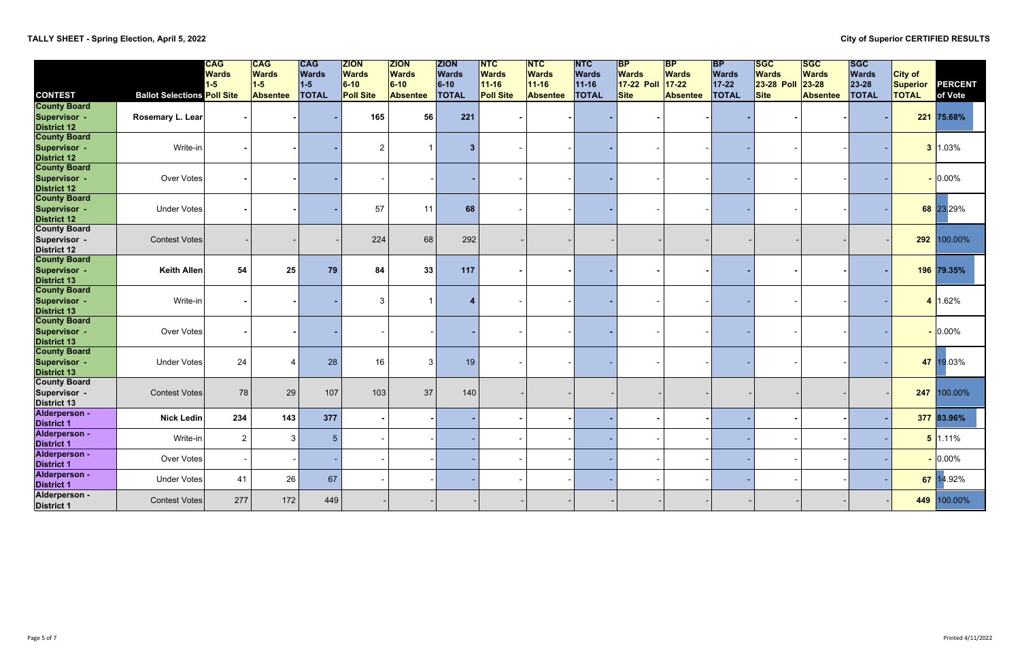# **TALLY SHEET - Spring Election, April 5, 2022 City of Superior CERTIFIED RESULTS**

|                                            |                                    | <b>CAG</b><br><b>Wards</b> | <b>CAG</b><br><b>Wards</b> | <b>CAG</b><br><b>Wards</b> | <b>ZION</b><br><b>Wards</b> | <b>ZION</b><br><b>Wards</b> | <b>ZION</b><br><b>Wards</b> | <b>NTC</b><br><b>Wards</b> | <b>NTC</b><br><b>Wards</b> | <b>INTC</b><br><b>Wards</b> | <b>BP</b><br><b>Wards</b> | <b>BP</b><br><b>Wards</b> | <b>BP</b><br><b>Wards</b> | <b>SGC</b><br><b>Wards</b> | <b>SGC</b><br><b>Wards</b> | <b>ISGC</b><br><b>Wards</b> | <b>City of</b> |             |
|--------------------------------------------|------------------------------------|----------------------------|----------------------------|----------------------------|-----------------------------|-----------------------------|-----------------------------|----------------------------|----------------------------|-----------------------------|---------------------------|---------------------------|---------------------------|----------------------------|----------------------------|-----------------------------|----------------|-------------|
|                                            |                                    | $1-5$                      | $1-5$                      | $1-5$                      | $ 6-10 $                    | $6-10$                      | $6-10$                      | $11 - 16$                  | $11 - 16$                  | $11 - 16$                   | 17-22 Poll                | $17 - 22$                 | $17 - 22$                 | 23-28 Poll                 | $23 - 28$                  | 23-28                       | Superior       | PERCENT     |
| <b>CONTEST</b>                             | <b>Ballot Selections Poll Site</b> |                            | <b>Absentee</b>            | <b>TOTAL</b>               | <b>Poll Site</b>            | <b>Absentee</b>             | <b>TOTAL</b>                | <b>Poll Site</b>           | <b>Absentee</b>            | <b>TOTAL</b>                | <b>Site</b>               | <b>Absentee</b>           | <b>TOTAL</b>              | <b>Site</b>                | <b>Absentee</b>            | <b>TOTAL</b>                | <b>TOTAL</b>   | of Vote     |
| <b>County Board</b><br><b>Supervisor -</b> | Rosemary L. Lear                   |                            |                            |                            | 165                         | 56                          | 221                         |                            |                            |                             |                           |                           |                           |                            |                            |                             |                | 221 75.68%  |
| <b>District 12</b>                         |                                    |                            |                            |                            |                             |                             |                             |                            |                            |                             |                           |                           |                           |                            |                            |                             |                |             |
| <b>County Board</b>                        |                                    |                            |                            |                            |                             |                             |                             |                            |                            |                             |                           |                           |                           |                            |                            |                             |                |             |
| Supervisor -                               | Write-in                           |                            |                            |                            | $\overline{2}$              |                             | 3                           |                            |                            |                             |                           |                           |                           |                            |                            |                             |                | $3$ 1.03%   |
| <b>District 12</b>                         |                                    |                            |                            |                            |                             |                             |                             |                            |                            |                             |                           |                           |                           |                            |                            |                             |                |             |
| <b>County Board</b>                        |                                    |                            |                            |                            |                             |                             |                             |                            |                            |                             |                           |                           |                           |                            |                            |                             |                |             |
| Supervisor -                               | Over Votes                         |                            |                            |                            |                             |                             |                             |                            |                            |                             |                           |                           |                           |                            |                            |                             |                | $ 0.00\%$   |
| <b>District 12</b>                         |                                    |                            |                            |                            |                             |                             |                             |                            |                            |                             |                           |                           |                           |                            |                            |                             |                |             |
| <b>County Board</b>                        |                                    |                            |                            |                            |                             |                             |                             |                            |                            |                             |                           |                           |                           |                            |                            |                             |                |             |
| <b>Supervisor -</b>                        | <b>Under Votes</b>                 |                            |                            |                            | 57                          | 11                          | 68                          |                            |                            |                             |                           |                           |                           |                            |                            |                             |                | 68 23.29%   |
| <b>District 12</b>                         |                                    |                            |                            |                            |                             |                             |                             |                            |                            |                             |                           |                           |                           |                            |                            |                             |                |             |
| <b>County Board</b>                        |                                    |                            |                            |                            |                             |                             |                             |                            |                            |                             |                           |                           |                           |                            |                            |                             |                |             |
| Supervisor -                               | <b>Contest Votes</b>               |                            |                            |                            | 224                         | 68                          | 292                         |                            |                            |                             |                           |                           |                           |                            |                            |                             | 292            | 100.00%     |
| <b>District 12</b>                         |                                    |                            |                            |                            |                             |                             |                             |                            |                            |                             |                           |                           |                           |                            |                            |                             |                |             |
| <b>County Board</b>                        |                                    |                            |                            |                            |                             |                             | 117                         |                            |                            |                             |                           |                           |                           |                            |                            |                             |                | 196 79.35%  |
| Supervisor -<br><b>District 13</b>         | <b>Keith Allen</b>                 | 54                         | 25                         | 79                         | 84                          | 33                          |                             |                            |                            |                             |                           |                           |                           |                            |                            |                             |                |             |
| <b>County Board</b>                        |                                    |                            |                            |                            |                             |                             |                             |                            |                            |                             |                           |                           |                           |                            |                            |                             |                |             |
| Supervisor -                               | Write-in                           |                            |                            |                            | 3                           |                             |                             |                            |                            |                             |                           |                           |                           |                            |                            |                             |                | 4 1.62%     |
| <b>District 13</b>                         |                                    |                            |                            |                            |                             |                             |                             |                            |                            |                             |                           |                           |                           |                            |                            |                             |                |             |
| <b>County Board</b>                        |                                    |                            |                            |                            |                             |                             |                             |                            |                            |                             |                           |                           |                           |                            |                            |                             |                |             |
| <b>Supervisor -</b>                        | Over Votes                         |                            |                            |                            |                             |                             |                             |                            |                            |                             |                           |                           |                           |                            |                            |                             |                | $-0.00\%$   |
| <b>District 13</b>                         |                                    |                            |                            |                            |                             |                             |                             |                            |                            |                             |                           |                           |                           |                            |                            |                             |                |             |
| <b>County Board</b>                        |                                    |                            |                            |                            |                             |                             |                             |                            |                            |                             |                           |                           |                           |                            |                            |                             |                |             |
| <b>Supervisor -</b>                        | <b>Under Votes</b>                 | 24                         | 4                          | 28                         | 16                          | 3                           | 19                          |                            |                            |                             |                           |                           |                           |                            |                            |                             |                | 47 19.03%   |
| <b>District 13</b>                         |                                    |                            |                            |                            |                             |                             |                             |                            |                            |                             |                           |                           |                           |                            |                            |                             |                |             |
| <b>County Board</b>                        |                                    |                            |                            |                            |                             |                             |                             |                            |                            |                             |                           |                           |                           |                            |                            |                             |                |             |
| Supervisor -                               | <b>Contest Votes</b>               | 78                         | 29                         | 107                        | 103                         | 37                          | 140                         |                            |                            |                             |                           |                           |                           |                            |                            |                             | 247            | 100.00%     |
| <b>District 13</b>                         |                                    |                            |                            |                            |                             |                             |                             |                            |                            |                             |                           |                           |                           |                            |                            |                             |                |             |
| Alderperson -                              | <b>Nick Ledin</b>                  | 234                        | 143                        | 377                        |                             |                             |                             |                            |                            |                             |                           |                           |                           |                            |                            |                             |                | 377 83.96%  |
| <b>District 1</b><br>Alderperson -         |                                    |                            |                            |                            |                             |                             |                             |                            |                            |                             |                           |                           |                           |                            |                            |                             |                |             |
| <b>District 1</b>                          | Write-in                           | $\overline{2}$             | 3 <sup>1</sup>             | 5 <sup>5</sup>             |                             |                             |                             |                            |                            |                             |                           |                           |                           |                            |                            |                             |                | 5 1.11%     |
| Alderperson -                              |                                    |                            |                            |                            |                             |                             |                             |                            |                            |                             |                           |                           |                           |                            |                            |                             |                |             |
| <b>District 1</b>                          | Over Votes                         | $\overline{\phantom{a}}$   |                            |                            |                             |                             |                             |                            |                            |                             |                           |                           |                           |                            |                            |                             |                | $-0.00\%$   |
| Alderperson -                              |                                    |                            |                            |                            |                             |                             |                             |                            |                            |                             |                           |                           |                           |                            |                            |                             |                |             |
| <b>District 1</b>                          | <b>Under Votes</b>                 | 41                         | 26                         | 67                         |                             |                             |                             |                            |                            |                             |                           |                           |                           |                            |                            |                             |                | 67 14.92%   |
| Alderperson -<br><b>District 1</b>         | <b>Contest Votes</b>               | 277                        | 172                        | 449                        |                             |                             |                             |                            |                            |                             |                           |                           |                           |                            |                            |                             |                | 449 100.00% |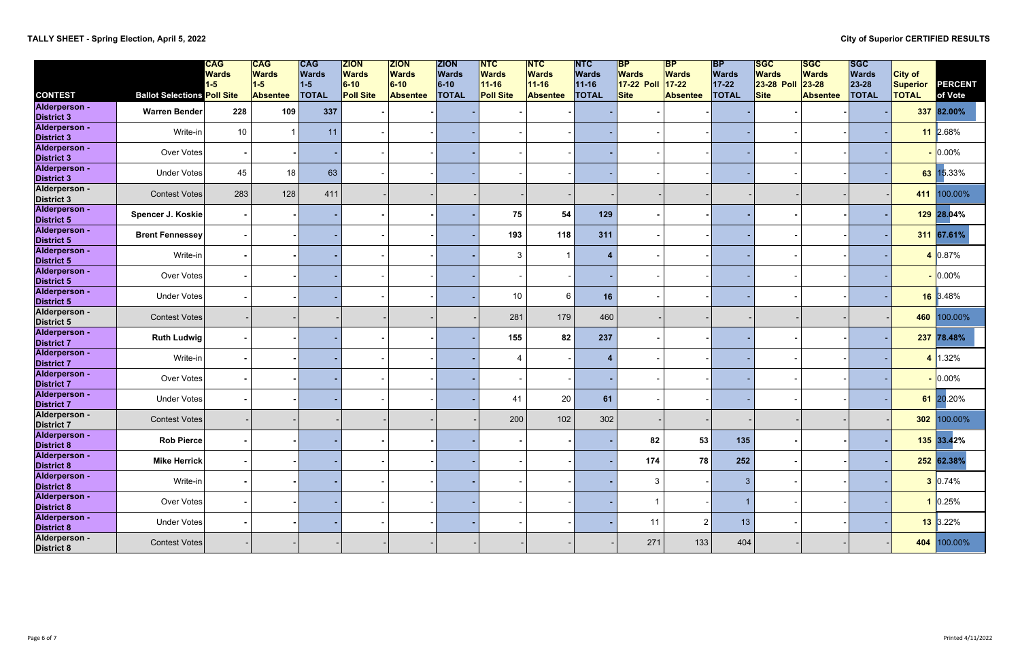|                                                  |                                    | <b>CAG</b><br><b>Wards</b> | $CC$<br><b>Wards</b>     | <b>CAG</b><br>Wards   | <b>ZION</b><br><b>Wards</b>  | <b>ZION</b><br><b>Wards</b> | <b>ZION</b><br><b>Wards</b> | <b>INTC</b><br><b>Wards</b>   | $\overline{\mathsf{NTC}}$<br><b>Wards</b> | $\overline{\mathsf{NTC}}$<br><b>Wards</b> | $\mathsf{B}\mathsf{P}$<br><b>Wards</b> | $\mathsf{BP}$<br><b>Wards</b> | <b>BP</b><br><b>Wards</b> | <b>SGC</b><br><b>Wards</b>       | <b>ISGC</b><br><b>Wards</b>  | <b>ISGC</b><br><b>Wards</b> | <b>City of</b>                  |                    |
|--------------------------------------------------|------------------------------------|----------------------------|--------------------------|-----------------------|------------------------------|-----------------------------|-----------------------------|-------------------------------|-------------------------------------------|-------------------------------------------|----------------------------------------|-------------------------------|---------------------------|----------------------------------|------------------------------|-----------------------------|---------------------------------|--------------------|
| <b>CONTEST</b>                                   | <b>Ballot Selections Poll Site</b> | $1 - 5$                    | $1-5$<br><b>Absentee</b> | $1-5$<br><b>TOTAL</b> | $6 - 10$<br><b>Poll Site</b> | $6-10$<br><b>Absentee</b>   | $6-10$<br><b>TOTAL</b>      | $11 - 16$<br><b>Poll Site</b> | $11 - 16$<br><b>Absentee</b>              | $11 - 16$<br><b>TOTAL</b>                 | 17-22 Poll<br>Site                     | $17 - 22$<br><b>Absentee</b>  | $17 - 22$<br><b>TOTAL</b> | <b>23-28 Poll</b><br><b>Site</b> | $23 - 28$<br><b>Absentee</b> | 23-28<br><b>TOTAL</b>       | <b>Superior</b><br><b>TOTAL</b> | PERCENT<br>of Vote |
| Alderperson -<br><b>District 3</b>               | Warren Bender                      | 228                        | 109                      | 337                   |                              |                             |                             |                               |                                           |                                           |                                        |                               |                           |                                  |                              |                             |                                 | 337 82.00%         |
| Alderperson -<br><b>District 3</b>               | Write-in                           | 10                         |                          | 11                    |                              |                             |                             |                               |                                           |                                           |                                        |                               |                           |                                  |                              |                             |                                 | 11 2.68%           |
| Alderperson -<br><b>District 3</b>               | Over Votes                         |                            |                          |                       |                              |                             |                             |                               |                                           |                                           |                                        |                               |                           |                                  |                              |                             |                                 | 0.00%              |
| Alderperson -<br><b>District 3</b>               | Under Votes                        | 45                         | 18                       | 63                    |                              |                             |                             |                               |                                           |                                           |                                        |                               |                           |                                  |                              |                             |                                 | 63 15.33%          |
| Alderperson -<br><b>District 3</b>               | <b>Contest Votes</b>               | 283                        | 128                      | 411                   |                              |                             |                             |                               |                                           |                                           |                                        |                               |                           |                                  |                              |                             | 411                             | 100.00%            |
| Alderperson -<br><b>District 5</b>               | Spencer J. Koskie                  |                            |                          |                       |                              |                             |                             | 75                            | 54                                        | 129                                       |                                        |                               |                           |                                  |                              |                             |                                 | 129 28.04%         |
| Alderperson -<br><b>District 5</b>               | <b>Brent Fennessey</b>             |                            |                          |                       |                              |                             |                             | 193                           | 118                                       | 311                                       |                                        |                               |                           |                                  |                              |                             |                                 | 311 67.61%         |
| Alderperson -<br><b>District 5</b>               | Write-in                           |                            |                          |                       |                              |                             |                             | $\mathbf{3}$                  |                                           |                                           |                                        |                               |                           |                                  |                              |                             |                                 | 4 0.87%            |
| Alderperson -<br><b>District 5</b>               | Over Votes                         |                            |                          |                       |                              |                             |                             |                               |                                           |                                           |                                        |                               |                           |                                  |                              |                             |                                 | $-0.00\%$          |
| Alderperson -<br><b>District 5</b>               | Under Votes                        |                            |                          |                       |                              |                             |                             | 10                            | 6                                         | 16                                        |                                        |                               |                           |                                  |                              |                             |                                 | 16 3.48%           |
| Alderperson -<br><b>District 5</b>               | Contest Votes                      |                            |                          |                       |                              |                             |                             | 281                           | 179                                       | 460                                       |                                        |                               |                           |                                  |                              |                             | 460                             | 100.00%            |
| Alderperson -<br><b>District 7</b>               | <b>Ruth Ludwig</b>                 |                            |                          |                       |                              |                             |                             | 155                           | 82                                        | 237                                       |                                        |                               |                           |                                  |                              |                             |                                 | 237 78.48%         |
| Alderperson -<br><b>District 7</b>               | Write-in                           |                            |                          |                       |                              |                             |                             | $\overline{\mathcal{A}}$      |                                           | 4                                         |                                        |                               |                           |                                  |                              |                             |                                 | 4 1.32%            |
| Alderperson -<br><b>District 7</b>               | Over Votes                         |                            |                          |                       |                              |                             |                             |                               |                                           |                                           |                                        |                               |                           |                                  |                              |                             |                                 | $ 0.00\%$          |
| Alderperson -<br><b>District 7</b>               | Under Votes                        |                            |                          |                       |                              |                             |                             | 41                            | 20                                        | 61                                        |                                        |                               |                           |                                  |                              |                             |                                 | 61 20.20%          |
| Alderperson -<br><b>District 7</b>               | <b>Contest Votes</b>               |                            |                          |                       |                              |                             |                             | 200                           | 102                                       | 302                                       |                                        |                               |                           |                                  |                              |                             | 302                             | 100.00%            |
| <b>Alderperson -</b><br><b>District 8</b>        | Rob Pierce                         |                            |                          |                       |                              |                             |                             |                               |                                           |                                           | 82                                     | 53                            | 135                       |                                  |                              |                             |                                 | $135$ 33.42%       |
| Alderperson -<br><b>District 8</b>               | <b>Mike Herrick</b>                | $\sim$                     |                          |                       |                              |                             |                             |                               |                                           |                                           | 174                                    | 78                            | 252                       |                                  |                              |                             |                                 | 252 62.38%         |
| Alderperson -                                    | Write-in                           |                            |                          |                       |                              |                             |                             |                               |                                           |                                           | $\mathbf{3}$                           |                               | $\mathbf{3}$              |                                  |                              |                             |                                 | 3 0.74%            |
| District 8<br>Alderperson -                      | Over Votes                         |                            |                          |                       |                              |                             |                             |                               |                                           |                                           | 1                                      |                               | $\mathbf{1}$              |                                  |                              |                             |                                 | 1 0.25%            |
| District 8<br>Alderperson -                      | Under Votes                        |                            |                          |                       |                              |                             |                             |                               |                                           |                                           | 11                                     | $\overline{2}$                | 13                        |                                  |                              |                             |                                 | <b>13</b> 3.22%    |
| District 8<br>Alderperson -<br><b>District 8</b> | Contest Votes                      |                            |                          |                       |                              |                             |                             |                               |                                           |                                           | 271                                    | 133                           | 404                       |                                  |                              |                             |                                 | 404 100.00%        |